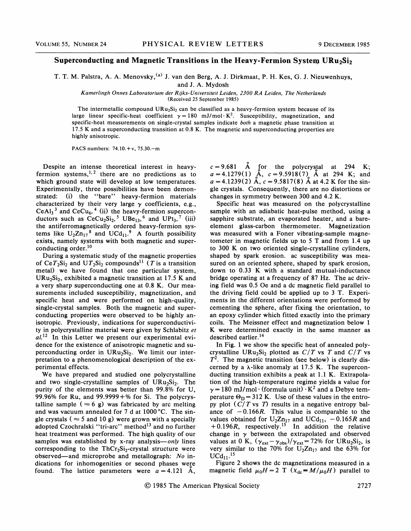## Superconducting and Magnetic Transitions in the Heavy-Fermion System URu<sub>2</sub>Si<sub>2</sub>

T. T. M. Palstra, A. A. Menovsky, <sup>(a)</sup> J. van den Berg, A. J. Dirkmaat, P. H. Kes, G. J. Nieuwenhuys,

and J. A. Mydosh

Kamerlingh Onnes Laboratorium der Rijks-Universiteit Leiden, 2300 RA Leiden, The Netherlands (Received 25 September 1985)

The intermetallic compound  $URu_2Si_2$  can be classified as a heavy-fermion system because of its large linear specific-heat coefficient  $\gamma = 180 \text{ mJ/mol} \cdot \text{K}^2$ . Susceptibility, magnetization, and specific-heat measurements on single-crystal samples indicate both a magnetic phase transition at 17.5 K and a superconducting transition at 0.8 K. The magnetic and superconducting properties are highly anisotropic.

PACS numbers: 74.10.+v, 75.30.—<sup>m</sup>

Despite an intense theoretical interest in heavyfermion systems,  $1, 2$  there are no predictions as to ens<br><sup>1, 2</sup> which ground state will develop at low temperatures. Experimentally, three possibilities have been demonstrated: (i) the "bare" heavy-fermion materials characterized by their very large  $\gamma$  coefficients, e.g.,  $CeAl<sub>3</sub><sup>3</sup>$  and  $CeCu<sub>6</sub><sup>4</sup>$  (ii) the heavy-fermion superconductors such as  $\text{CeCu}_2\text{Si}_2$ ,<sup>5</sup> UBe<sub>13</sub>,<sup>6</sup> and UPt<sub>3</sub>,<sup>7</sup> (iii) the antiferromagnetically ordered heavy-fermion systems like  $U_2 Zn_{17}^8$  and  $UCd_{11}^9$ . A fourth possibility exists, namely systems with both magnetic and superconducting order. $^{10}$ 

During a systematic study of the magnetic properties of Ce $T_2$ Si<sub>2</sub> and U $T_2$ Si<sub>2</sub> compounds<sup>11</sup> (T is a transition metal) we have found that one particular system,  $URu<sub>2</sub>Si<sub>2</sub>$ , exhibited a magnetic transition at 17.5 K and a very sharp superconducting one at 0.8 K. Our measurements included susceptibility, magnetization, and specific heat and were performed on high-quality, single-crystal samples. Both the magnetic and superconducting properties were observed to be highly anisotropic. Previously, indications for superconductivity in polycrystalline material were given by Schlabitz et  $aL^{12}$  In this Letter we present our experimental evidence for the existence of anisotropic magnetic and superconducting order in  $URu<sub>2</sub>Si<sub>2</sub>$ . We limit our interpretation to a phenomenological description of the experimental effects.

We have prepared and studied one polycrystalline and two single-crystalline samples of  $URu_2Si_2$ . The purity of the elements was better than  $99.8\%$  for U, 99.96% for Ru, and  $99.9999 +$ % for Si. The polycrystalline sample ( $\approx$  6 g) was fabricated by arc melting and was vacuum annealed for 7 d at 1000'C. The single crystals ( $\approx$  5 and 10 g) were grown with a specially adopted Czochralski "tri-arc" method<sup>13</sup> and no further heat treatment was performed. The high quality of our samples was established by x-ray analysis—only lines corresponding to the  $ThCr<sub>2</sub>Si<sub>2</sub>$ -crystal structure were observed—and microprobe and metallograph: No indications for inhomogenities or second phases were found. The lattice parameters were  $a = 4.121$  A,

 $c = 9.681$  Å for the polycrystal at 294 K;  $a = 4.1279(1)$   $\AA$ ,  $c = 9.5918(7)$   $\AA$  at 294 K; and  $a = 4.1239(2)$   $\AA$ ,  $c = 9.5817(8)$   $\AA$  at 4.2 K for the single crystals. Consequently, there are no distortions or changes in symmetry between 300 and 4.2 K.

Specific heat was measured on the polycrystalline sample with an adiabatic heat-pulse method, using a sapphire substrate, an evaporated heater, and a bareelement glass-carbon thermometer. Magnetization was measured with a Foner vibrating-sample magnetometer in magnetic fields up to 5 T and from 1.4 up to 300 K on two oriented single-crystalline cylinders, shaped by spark erosion. ac susceptibility was measured on an oriented sphere, shaped by spark erosion, down to 0.33 K with a standard mutual-inductance bridge operating at a frequency of 87 Hz. The ac driving field was 0.5 Oe and a dc magnetic field parallel to the driving field could be applied up to 3 T. Experiments in the different orientations were performed by cementing the sphere, after fixing the orientation, to an epoxy cylinder which fitted exactly into the primary coils. The Meissner effect and magnetization below 1 K were determined exactly in the same manner as described earlier.<sup>14</sup>

In Fig. <sup>1</sup> we show the specific heat of annealed polycrystalline URu<sub>2</sub>Si<sub>2</sub> plotted as  $C/T$  vs T and  $C/T$  vs  $T<sup>2</sup>$ . The magnetic transition (see below) is clearly discerned by a  $\lambda$ -like anomaly at 17.5 K. The superconducting transition exhibits a peak at 1.1 K. Extrapolation of the high-temperature regime yields a value for  $y = 180$  mJ/mol $\cdot$  (formula unit)  $\cdot$  K<sup>2</sup> and a Debye temperature  $\Theta_{\rm D} = 312$  K. Use of these values in the entropy plot  $(C/T \text{ vs } T)$  results in a negative entropy balance of  $-0.166R$ . This value is comparable to the values obtained for  $U_2Zn_{17}$  and  $UCd_{11}$ ,  $-0.165R$  and  $+ 0.196R$ , respectively.<sup>15</sup> In addition the relative change in  $\gamma$  between the extrapolated and observed values at 0 K,  $(\gamma_{\text{ext}} - \gamma_{\text{obs}})/\gamma_{\text{ext}} = 72\%$  for URu<sub>2</sub>Si<sub>2</sub>, is very similar to the 70% for  $U_2Zn_{17}$  and the 63% for  $UCd_{11}.$ <sup>15</sup>

Figure 2 shows the dc magnetizations measured in a magnetic field  $\mu_0 H = 2 \text{ T } (x_{\text{dc}} = M/\mu_0 H)$  parallel to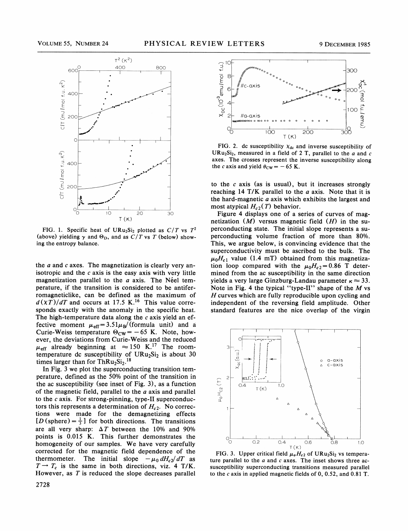

FIG. 1. Specific heat of URu<sub>2</sub>Si<sub>2</sub> plotted as  $C/T$  vs  $T^2$ (above) yielding  $\gamma$  and  $\Theta_{\text{D}}$ , and as  $C/T$  vs T (below) showing the entropy balance.

the  $a$  and  $c$  axes. The magnetization is clearly very anisotropic and the  $c$  axis is the easy axis with very little magnetization parallel to the  $a$  axis. The Neel temperature, if the transition is considered to be antiferromagneticlike, can be defined as the maximum of  $d(XT)/dT$  and occurs at 17.5 K.<sup>16</sup> This value corresponds exactly with the anomaly in the specific heat. The high-temperature data along the  $c$  axis yield an effective moment  $\mu_{\text{eff}}=3.51\mu_{\text{B}}/(for$  mula unit) and a Curie-Weiss temperature  $\Theta_{\text{CW}} = -65$  K. Note, however, the deviations from Curie-Weiss and the reduced  $\mu_{\text{eff}}$  already beginning at  $\approx 150$  K.<sup>17</sup> The roomtemperature dc susceptibility of  $URu<sub>2</sub>Si<sub>2</sub>$  is about 30 times larger than for  $ThRu<sub>2</sub>Si<sub>2</sub>.<sup>18</sup>$ 

In Fig. 3 we plot the superconducting transition temperature, defined as the 50% point of the transition in the ac susceptibility (see inset of Fig. 3), as a function of the magnetic field, parallel to the  $a$  axis and parallel to the  $c$  axis. For strong-pinning, type-II superconductors this represents a determination of  $H_{c2}$ . No corrections were made for the demagnetizing effects  $[D$  (sphere) =  $\frac{1}{3}$ ] for both directions. The transition are all very sharp:  $\Delta T$  between the 10% and 90% points is 0.015 K. This further demonstrates the homogeneity of our samples. We have very carefully corrected for the magnetic field dependence of the thermometer. The initial slope  $-\mu_0 dH_c/dT$  as  $T \rightarrow T_c$  is the same in both directions, viz. 4 T/K. However, as  $T$  is reduced the slope decreases parallel



FIG. 2. dc susceptibility  $\chi_{dc}$  and inverse susceptibility of URu<sub>2</sub>Si<sub>2</sub>, measured in a field of 2 T, parallel to the  $a$  and  $c$ axes. The crosses represent the inverse susceptibility along the c axis and yield  $\theta_{\text{CW}} = -65$  K.

to the  $c$  axis (as is usual), but it increases strongly reaching 14 T/K parallel to the  $a$  axis. Note that it is the hard-magnetic  $a$  axis which exhibits the largest and most atypical  $H_{c2}(T)$  behavior.

Figure 4 displays one of a series of curves of magnetization  $(M)$  versus magnetic field  $(H)$  in the superconducting state. The initial slope represents a superconducting volume fraction of more than 80%. This, we argue below, is convincing evidence that the superconductivity must be ascribed to the bulk. The  $\mu_0H_{c1}$  value (1.4 mT) obtained from this magnetization loop compared with the  $\mu_0 H_{c2} = 0.86$  T determined from the ac susceptibility in the same direction yields a very large Ginzburg-Landau parameter  $\kappa \approx 33$ . Note in Fig. 4 the typical "type-II" shape of the  $M$  vs H curves which are fully reproducible upon cycling and independent of the reversing field amplitude. Other standard features are the nice overlap of the virgin



FIG. 3. Upper critical field  $\mu_0 H_{c2}$  of URu<sub>2</sub>Si<sub>2</sub> vs temperature parallel to the  $a$  and  $c$  axes. The inset shows three acsusceptibility superconducting transitions measured parallel to the c axis in applied magnetic fields of 0, 0.52, and 0.81 T.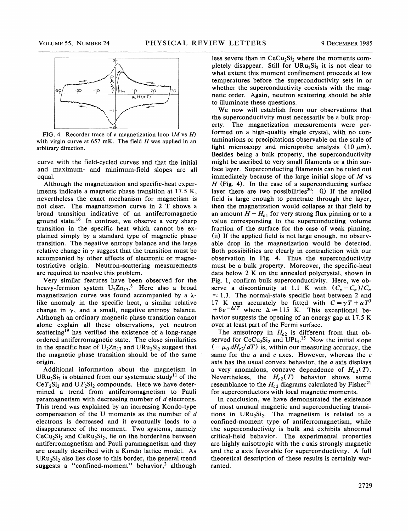

FIG. 4. Recorder trace of a magnetization loop  $(M \text{ vs } H)$ with virgin curve at  $657$  mK. The field  $H$  was applied in an arbitrary direction.

curve with the field-cycled curves and that the initial and maximum- and minimum-field slopes are all equal.

Although the magnetization and specific-heat experiments indicate a magnetic phase transition at 17.<sup>S</sup> K, nevertheless the exact mechanism for magnetism is not clear. The magnetization curve in 2 T shows a broad transition indicative of an antiferromagnetic ground state.<sup>16</sup> In contrast, we observe a very sharp transition in the specific heat which cannot be explained simply by a standard type of magnetic phase transition. The negative entropy balance and the large relative change in  $\gamma$  suggest that the transition must be accompanied by other effects of electronic or magnetostrictive origin. Neutron-scattering measurements are required to resolve this problem.

Very similar features have been observed for the heavy-fermion system  $U_2 Z n_{17}$ .<sup>8</sup> Here also a broad magnetization curve was found accompanied by a  $\lambda$ like anomaly in the specific heat, a similar relative change in  $\gamma$ , and a small, negative entropy balance. Although an ordinary magnetic phase transition cannot alone explain all these observations, yet neutron scattering<sup>19</sup> has verified the existence of a long-range ordered antiferromagnetic state. The close similarities in the specific heat of  $U_2 Zn_{17}$  and  $URu_2Si_2$  suggest that the magnetic phase transition should be of the same origin.

Additional information about the magnetism in  $URu<sub>2</sub>Si<sub>2</sub>$  is obtained from our systematic study<sup>11</sup> of the  $CeT_2Si_2$  and  $UT_2Si_2$  compounds. Here we have determined a trend from antiferromagnetism to Pauli paramagnetism with decreasing number of  $d$  electrons. This trend was explained by an increasing Kondo-type compensation of the U moments as the number of d electrons is decreased and it eventually leads to a disappearance of the moment. Two systems, namely  $CeCu<sub>2</sub>Si<sub>2</sub>$  and  $CeRu<sub>2</sub>Si<sub>2</sub>$ , lie on the borderline between antiferromagnetism and Pauli paramagnetism and they are usually described with a Kondo lattice model. As  $URu<sub>2</sub>Si<sub>2</sub>$  also lies close to this border, the general trend suggests a "confined-moment" behavior,<sup>2</sup> although

less severe than in  $CeCu<sub>2</sub>Si<sub>2</sub>$  where the moments completely disappear. Still for  $URu_2Si_2$  it is not clear to what extent this moment confinement proceeds at low temperatures before the superconductivity sets in or whether the superconductivity coexists with the magnetic order. Again, neutron scattering should be able to illuminate these questions.

We now will establish from our observations that the superconductivity must necessarily be a bulk property. The magnetization measurements were performed on a high-quality single crystal, with no contaminations or precipitations observable on the scale of light microscopy and microprobe analysis  $(10 \mu m)$ . Besides being a bulk property, the superconductivity might be ascribed to very small filaments or a thin surface layer. Superconducting filaments can be ruled out immediately because of the large initial slope of  $M$  vs  $H$  (Fig. 4). In the case of a superconducting surface layer there are two possibilities<sup>20</sup>: (i) If the applied field is large enough to penetrate through the layer, then the magnetization would collapse at that field by and amount  $H - H_{c1}$  for very strong flux pinning or to a value corresponding to the superconducting volume fraction of the surface for the case of weak pinning. (ii) If the applied field is not large enough, no observable drop in the magnetization would be detected. Both possibilities are clearly in contradiction with our observation in Fig. 4. Thus the superconductivity must be a bulk property. Moreover, the specific-heat data below 2 K on the annealed polycrystal, shown in Fig. 1, confirm bulk superconductivity. Here, we observe a discontinuity at 1.1 K with  $(C_s - C_n)/C_n$  $\approx$  1.3. The normal-state specific heat between 2 and 17 K can accurately be fitted with  $C = \gamma T + \alpha T^3$  $+ \delta e^{-\Delta/T}$  where  $\Delta \approx 115$  K. This exceptional behavior suggests the opening of an energy gap at 17.5 K over at least part of the Fermi surface.

The anisotropy in  $H_{c2}$  is different from that observed for  $CeCu<sub>2</sub>Si<sub>2</sub>$  and  $UPt<sub>3</sub>$ .<sup>15</sup> Now the initial slope  $(-\mu_0 dH_c/ dT)$  is, within our measuring accuracy, the same for the  $a$  and  $c$  axes. However, whereas the  $c$ axis has the usual convex behavior, the  $a$  axis displays a very anomalous, concave dependence of  $H_{c2}(T)$ . Nevertheless, the  $H_{c2}(T)$  behavior shows some resemblance to the  $H_{c2}$  diagrams calculated by Fisher<sup>21</sup> for superconductors with local magnetic moments.

In conclusion, we have demonstrated the existence of most unusual magnetic and superconducting transitions in  $URu<sub>2</sub>Si<sub>2</sub>$ . The magnetism is related to a confined-moment type of antiferromagnetism, while the superconductivity is bulk and exhibits abnormal critical-field behavior. The experimental properties are highly anisotropic with the  $c$  axis strongly magnetic and the  $a$  axis favorable for superconductivity. A full theoretical description of these results is certainly warranted.